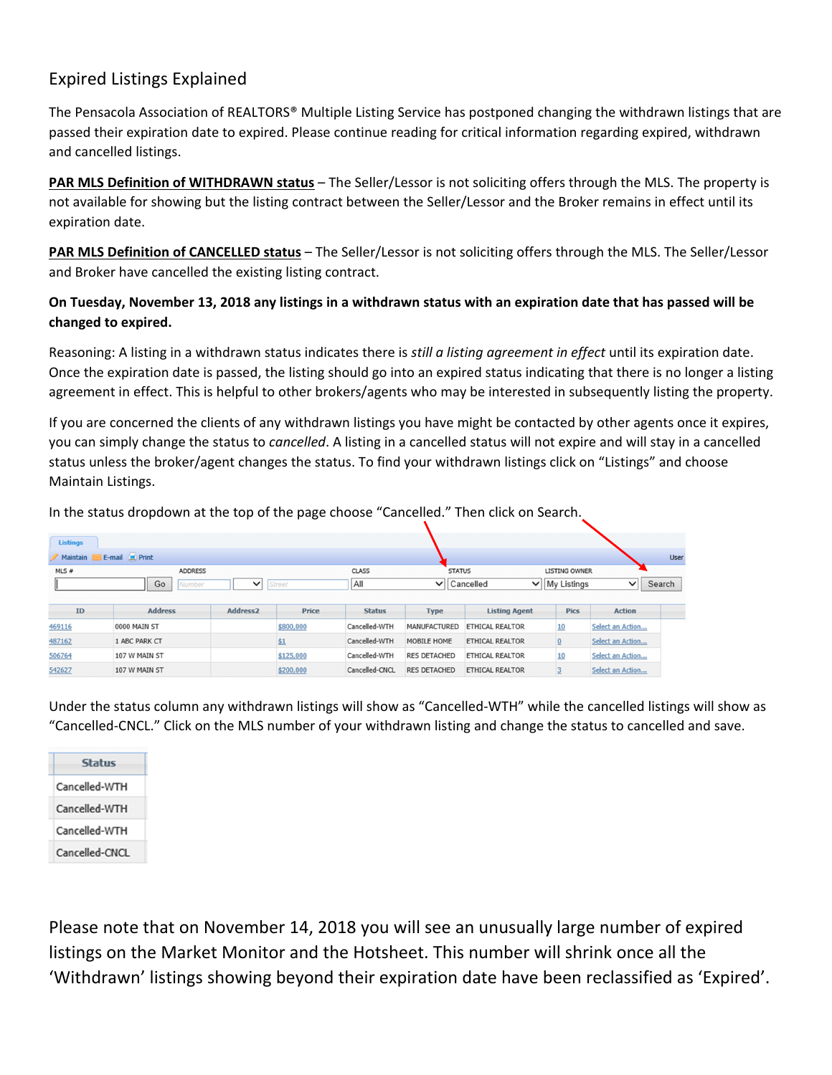## Expired Listings Explained

The Pensacola Association of REALTORS® Multiple Listing Service has postponed changing the withdrawn listings that are passed their expiration date to expired. Please continue reading for critical information regarding expired, withdrawn and cancelled listings.

**PAR MLS Definition of WITHDRAWN status** – The Seller/Lessor is not soliciting offers through the MLS. The property is not available for showing but the listing contract between the Seller/Lessor and the Broker remains in effect until its expiration date.

**PAR MLS Definition of CANCELLED status** – The Seller/Lessor is not soliciting offers through the MLS. The Seller/Lessor and Broker have cancelled the existing listing contract.

## **On Tuesday, November 13, 2018 any listings in a withdrawn status with an expiration date that has passed will be changed to expired.**

Reasoning: A listing in a withdrawn status indicates there is *still a listing agreement in effect* until its expiration date. Once the expiration date is passed, the listing should go into an expired status indicating that there is no longer a listing agreement in effect. This is helpful to other brokers/agents who may be interested in subsequently listing the property.

If you are concerned the clients of any withdrawn listings you have might be contacted by other agents once it expires, you can simply change the status to *cancelled*. A listing in a cancelled status will not expire and will stay in a cancelled status unless the broker/agent changes the status. To find your withdrawn listings click on "Listings" and choose Maintain Listings.

| In the status dropdown at the top of the page choose "Cancelled." Then click on Search. |                |                      |           |                |                     |                        |                      |                  |        |
|-----------------------------------------------------------------------------------------|----------------|----------------------|-----------|----------------|---------------------|------------------------|----------------------|------------------|--------|
|                                                                                         |                |                      |           |                |                     |                        |                      |                  |        |
| Listings                                                                                |                |                      |           |                |                     |                        |                      |                  |        |
| Maintain E-mail 2 Print<br>User                                                         |                |                      |           |                |                     |                        |                      |                  |        |
| MLS#                                                                                    | <b>ADDRESS</b> |                      |           | CLASS          | <b>STATUS</b>       |                        | <b>LISTING OWNER</b> |                  |        |
|                                                                                         | Go<br>Number   | $\checkmark$         | Street    | All            | $\vee$ Cancelled    |                        | $\vee$ My Listings   | $\checkmark$     | Search |
|                                                                                         |                |                      |           |                |                     |                        |                      |                  |        |
| <b>ID</b>                                                                               | <b>Address</b> | Address <sub>2</sub> | Price     | <b>Status</b>  | <b>Type</b>         | <b>Listing Agent</b>   | <b>Pics</b>          | <b>Action</b>    |        |
| 469116                                                                                  | 0000 MAIN ST   |                      | \$800,000 | Cancelled-WTH  | MANUFACTURED        | ETHICAL REALTOR        | 10                   | Select an Action |        |
| 487162                                                                                  | 1 ABC PARK CT  |                      | \$1       | Cancelled-WTH  | MOBILE HOME         | ETHICAL REALTOR        | ₫                    | Select an Action |        |
| 506764                                                                                  | 107 W MAIN ST  |                      | \$125,000 | Cancelled-WTH  | <b>RES DETACHED</b> | ETHICAL REALTOR        | 10                   | Select an Action |        |
| 542627                                                                                  | 107 W MAIN ST  |                      | \$200,000 | Cancelled-CNCL | <b>RES DETACHED</b> | <b>ETHICAL REALTOR</b> |                      | Select an Action |        |

Under the status column any withdrawn listings will show as "Cancelled‐WTH" while the cancelled listings will show as "Cancelled‐CNCL." Click on the MLS number of your withdrawn listing and change the status to cancelled and save.

| <b>Status</b>  |
|----------------|
| Cancelled-WTH  |
| Cancelled-WTH  |
| Cancelled-WTH  |
| Cancelled-CNCL |

Please note that on November 14, 2018 you will see an unusually large number of expired listings on the Market Monitor and the Hotsheet. This number will shrink once all the 'Withdrawn' listings showing beyond their expiration date have been reclassified as 'Expired'.